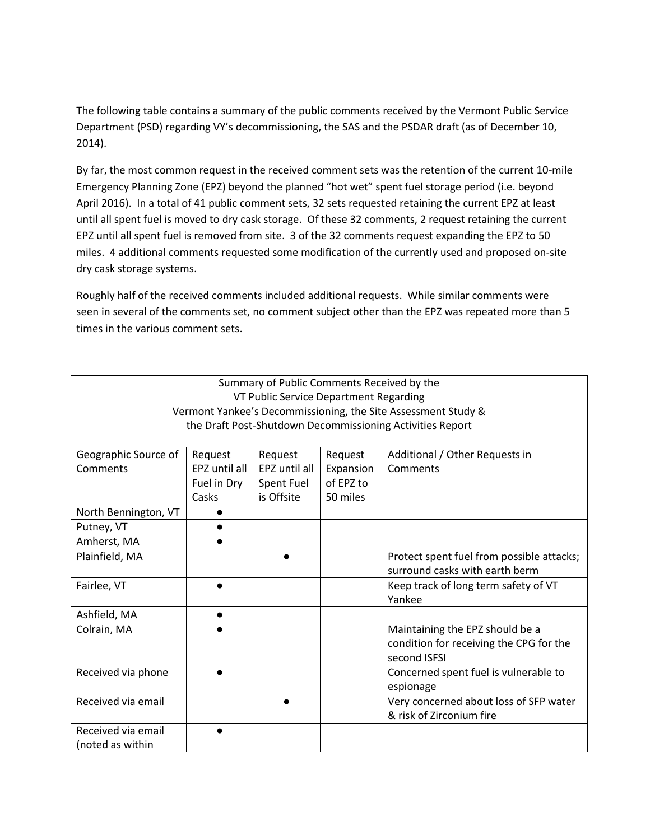The following table contains a summary of the public comments received by the Vermont Public Service Department (PSD) regarding VY's decommissioning, the SAS and the PSDAR draft (as of December 10, 2014).

By far, the most common request in the received comment sets was the retention of the current 10-mile Emergency Planning Zone (EPZ) beyond the planned "hot wet" spent fuel storage period (i.e. beyond April 2016). In a total of 41 public comment sets, 32 sets requested retaining the current EPZ at least until all spent fuel is moved to dry cask storage. Of these 32 comments, 2 request retaining the current EPZ until all spent fuel is removed from site. 3 of the 32 comments request expanding the EPZ to 50 miles. 4 additional comments requested some modification of the currently used and proposed on-site dry cask storage systems.

Roughly half of the received comments included additional requests. While similar comments were seen in several of the comments set, no comment subject other than the EPZ was repeated more than 5 times in the various comment sets.

| Summary of Public Comments Received by the                    |               |               |           |                                           |  |  |  |
|---------------------------------------------------------------|---------------|---------------|-----------|-------------------------------------------|--|--|--|
| VT Public Service Department Regarding                        |               |               |           |                                           |  |  |  |
| Vermont Yankee's Decommissioning, the Site Assessment Study & |               |               |           |                                           |  |  |  |
| the Draft Post-Shutdown Decommissioning Activities Report     |               |               |           |                                           |  |  |  |
|                                                               |               |               |           |                                           |  |  |  |
| Geographic Source of                                          | Request       | Request       | Request   | Additional / Other Requests in            |  |  |  |
| Comments                                                      | EPZ until all | EPZ until all | Expansion | Comments                                  |  |  |  |
|                                                               | Fuel in Dry   | Spent Fuel    | of EPZ to |                                           |  |  |  |
|                                                               | Casks         | is Offsite    | 50 miles  |                                           |  |  |  |
| North Bennington, VT                                          |               |               |           |                                           |  |  |  |
| Putney, VT                                                    |               |               |           |                                           |  |  |  |
| Amherst, MA                                                   |               |               |           |                                           |  |  |  |
| Plainfield, MA                                                |               |               |           | Protect spent fuel from possible attacks; |  |  |  |
|                                                               |               |               |           | surround casks with earth berm            |  |  |  |
| Fairlee, VT                                                   |               |               |           | Keep track of long term safety of VT      |  |  |  |
|                                                               |               |               |           | Yankee                                    |  |  |  |
| Ashfield, MA                                                  |               |               |           |                                           |  |  |  |
| Colrain, MA                                                   |               |               |           | Maintaining the EPZ should be a           |  |  |  |
|                                                               |               |               |           | condition for receiving the CPG for the   |  |  |  |
|                                                               |               |               |           | second ISFSI                              |  |  |  |
| Received via phone                                            |               |               |           | Concerned spent fuel is vulnerable to     |  |  |  |
|                                                               |               |               |           | espionage                                 |  |  |  |
| Received via email                                            |               |               |           | Very concerned about loss of SFP water    |  |  |  |
|                                                               |               |               |           | & risk of Zirconium fire                  |  |  |  |
| Received via email                                            |               |               |           |                                           |  |  |  |
| (noted as within                                              |               |               |           |                                           |  |  |  |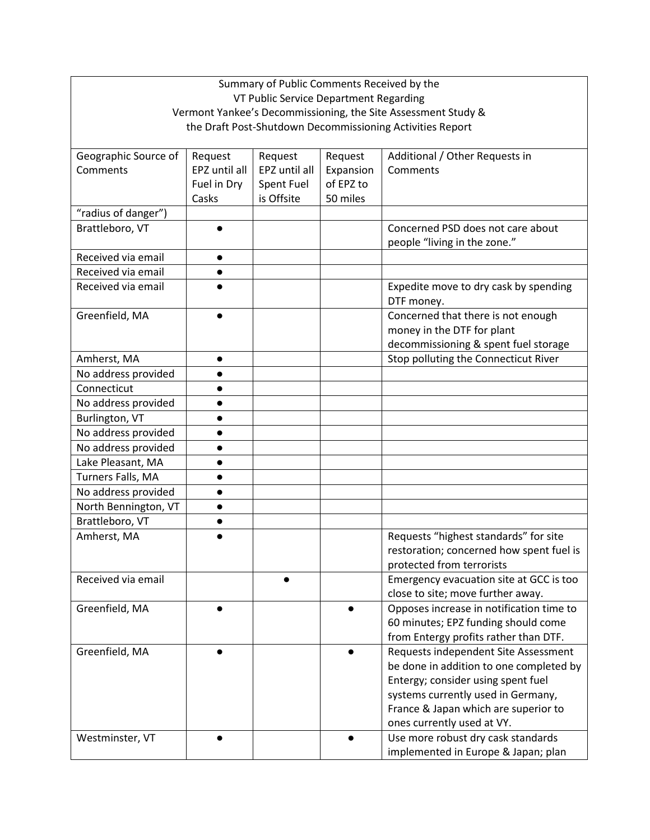|                                                           | Summary of Public Comments Received by the |               |           |                                                               |  |  |  |
|-----------------------------------------------------------|--------------------------------------------|---------------|-----------|---------------------------------------------------------------|--|--|--|
|                                                           | VT Public Service Department Regarding     |               |           |                                                               |  |  |  |
|                                                           |                                            |               |           | Vermont Yankee's Decommissioning, the Site Assessment Study & |  |  |  |
| the Draft Post-Shutdown Decommissioning Activities Report |                                            |               |           |                                                               |  |  |  |
|                                                           |                                            |               |           |                                                               |  |  |  |
| Geographic Source of                                      | Request                                    | Request       | Request   | Additional / Other Requests in                                |  |  |  |
| Comments                                                  | EPZ until all                              | EPZ until all | Expansion | Comments                                                      |  |  |  |
|                                                           | Fuel in Dry                                | Spent Fuel    | of EPZ to |                                                               |  |  |  |
|                                                           | Casks                                      | is Offsite    | 50 miles  |                                                               |  |  |  |
| "radius of danger")                                       |                                            |               |           |                                                               |  |  |  |
| Brattleboro, VT                                           |                                            |               |           | Concerned PSD does not care about                             |  |  |  |
|                                                           |                                            |               |           | people "living in the zone."                                  |  |  |  |
| Received via email                                        | $\bullet$                                  |               |           |                                                               |  |  |  |
| Received via email                                        |                                            |               |           |                                                               |  |  |  |
| Received via email                                        |                                            |               |           | Expedite move to dry cask by spending                         |  |  |  |
|                                                           |                                            |               |           | DTF money.                                                    |  |  |  |
| Greenfield, MA                                            |                                            |               |           | Concerned that there is not enough                            |  |  |  |
|                                                           |                                            |               |           | money in the DTF for plant                                    |  |  |  |
|                                                           |                                            |               |           | decommissioning & spent fuel storage                          |  |  |  |
| Amherst, MA                                               | $\bullet$                                  |               |           | Stop polluting the Connecticut River                          |  |  |  |
| No address provided                                       |                                            |               |           |                                                               |  |  |  |
| Connecticut                                               |                                            |               |           |                                                               |  |  |  |
| No address provided                                       |                                            |               |           |                                                               |  |  |  |
| Burlington, VT                                            |                                            |               |           |                                                               |  |  |  |
| No address provided                                       | $\bullet$                                  |               |           |                                                               |  |  |  |
| No address provided                                       | $\bullet$                                  |               |           |                                                               |  |  |  |
| Lake Pleasant, MA                                         |                                            |               |           |                                                               |  |  |  |
| Turners Falls, MA                                         |                                            |               |           |                                                               |  |  |  |
| No address provided                                       | $\bullet$                                  |               |           |                                                               |  |  |  |
| North Bennington, VT                                      | $\bullet$                                  |               |           |                                                               |  |  |  |
| Brattleboro, VT                                           | $\bullet$                                  |               |           |                                                               |  |  |  |
| Amherst, MA                                               |                                            |               |           | Requests "highest standards" for site                         |  |  |  |
|                                                           |                                            |               |           | restoration; concerned how spent fuel is                      |  |  |  |
|                                                           |                                            |               |           | protected from terrorists                                     |  |  |  |
| Received via email                                        |                                            |               |           | Emergency evacuation site at GCC is too                       |  |  |  |
|                                                           |                                            |               |           | close to site; move further away.                             |  |  |  |
| Greenfield, MA                                            |                                            |               |           | Opposes increase in notification time to                      |  |  |  |
|                                                           |                                            |               |           | 60 minutes; EPZ funding should come                           |  |  |  |
|                                                           |                                            |               |           | from Entergy profits rather than DTF.                         |  |  |  |
| Greenfield, MA                                            |                                            |               |           | Requests independent Site Assessment                          |  |  |  |
|                                                           |                                            |               |           | be done in addition to one completed by                       |  |  |  |
|                                                           |                                            |               |           | Entergy; consider using spent fuel                            |  |  |  |
|                                                           |                                            |               |           | systems currently used in Germany,                            |  |  |  |
|                                                           |                                            |               |           | France & Japan which are superior to                          |  |  |  |
|                                                           |                                            |               |           | ones currently used at VY.                                    |  |  |  |
| Westminster, VT                                           |                                            |               |           | Use more robust dry cask standards                            |  |  |  |
|                                                           |                                            |               |           | implemented in Europe & Japan; plan                           |  |  |  |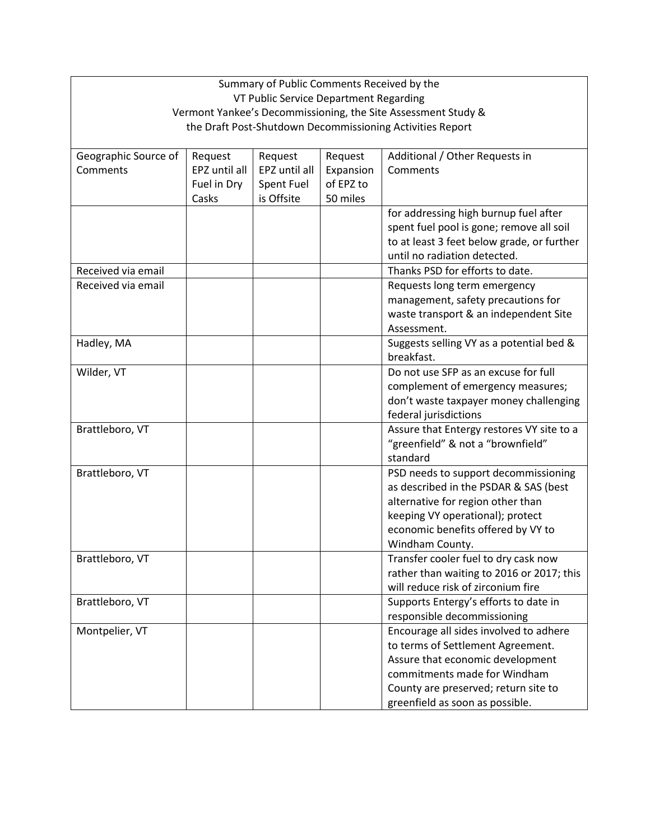| Summary of Public Comments Received by the                    |               |               |           |                                            |  |  |  |  |
|---------------------------------------------------------------|---------------|---------------|-----------|--------------------------------------------|--|--|--|--|
| VT Public Service Department Regarding                        |               |               |           |                                            |  |  |  |  |
| Vermont Yankee's Decommissioning, the Site Assessment Study & |               |               |           |                                            |  |  |  |  |
| the Draft Post-Shutdown Decommissioning Activities Report     |               |               |           |                                            |  |  |  |  |
|                                                               |               |               |           |                                            |  |  |  |  |
| Geographic Source of                                          | Request       | Request       | Request   | Additional / Other Requests in             |  |  |  |  |
| Comments                                                      | EPZ until all | EPZ until all | Expansion | Comments                                   |  |  |  |  |
|                                                               | Fuel in Dry   | Spent Fuel    | of EPZ to |                                            |  |  |  |  |
|                                                               | Casks         | is Offsite    | 50 miles  |                                            |  |  |  |  |
|                                                               |               |               |           | for addressing high burnup fuel after      |  |  |  |  |
|                                                               |               |               |           | spent fuel pool is gone; remove all soil   |  |  |  |  |
|                                                               |               |               |           | to at least 3 feet below grade, or further |  |  |  |  |
|                                                               |               |               |           | until no radiation detected.               |  |  |  |  |
| Received via email                                            |               |               |           | Thanks PSD for efforts to date.            |  |  |  |  |
| Received via email                                            |               |               |           | Requests long term emergency               |  |  |  |  |
|                                                               |               |               |           | management, safety precautions for         |  |  |  |  |
|                                                               |               |               |           | waste transport & an independent Site      |  |  |  |  |
|                                                               |               |               |           | Assessment.                                |  |  |  |  |
| Hadley, MA                                                    |               |               |           | Suggests selling VY as a potential bed &   |  |  |  |  |
|                                                               |               |               |           | breakfast.                                 |  |  |  |  |
| Wilder, VT                                                    |               |               |           | Do not use SFP as an excuse for full       |  |  |  |  |
|                                                               |               |               |           | complement of emergency measures;          |  |  |  |  |
|                                                               |               |               |           | don't waste taxpayer money challenging     |  |  |  |  |
|                                                               |               |               |           | federal jurisdictions                      |  |  |  |  |
| Brattleboro, VT                                               |               |               |           | Assure that Entergy restores VY site to a  |  |  |  |  |
|                                                               |               |               |           | "greenfield" & not a "brownfield"          |  |  |  |  |
|                                                               |               |               |           | standard                                   |  |  |  |  |
| Brattleboro, VT                                               |               |               |           | PSD needs to support decommissioning       |  |  |  |  |
|                                                               |               |               |           | as described in the PSDAR & SAS (best      |  |  |  |  |
|                                                               |               |               |           | alternative for region other than          |  |  |  |  |
|                                                               |               |               |           | keeping VY operational); protect           |  |  |  |  |
|                                                               |               |               |           | economic benefits offered by VY to         |  |  |  |  |
|                                                               |               |               |           | Windham County.                            |  |  |  |  |
| Brattleboro, VT                                               |               |               |           | Transfer cooler fuel to dry cask now       |  |  |  |  |
|                                                               |               |               |           | rather than waiting to 2016 or 2017; this  |  |  |  |  |
|                                                               |               |               |           | will reduce risk of zirconium fire         |  |  |  |  |
| Brattleboro, VT                                               |               |               |           | Supports Entergy's efforts to date in      |  |  |  |  |
|                                                               |               |               |           | responsible decommissioning                |  |  |  |  |
| Montpelier, VT                                                |               |               |           | Encourage all sides involved to adhere     |  |  |  |  |
|                                                               |               |               |           | to terms of Settlement Agreement.          |  |  |  |  |
|                                                               |               |               |           | Assure that economic development           |  |  |  |  |
|                                                               |               |               |           | commitments made for Windham               |  |  |  |  |
|                                                               |               |               |           | County are preserved; return site to       |  |  |  |  |
|                                                               |               |               |           | greenfield as soon as possible.            |  |  |  |  |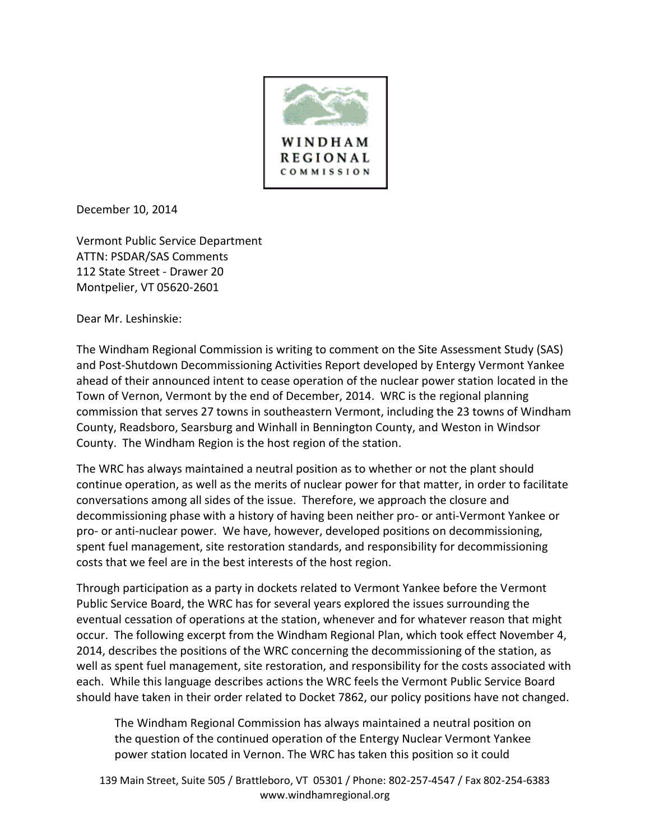

December 10, 2014

Vermont Public Service Department ATTN: PSDAR/SAS Comments 112 State Street - Drawer 20 Montpelier, VT 05620-2601

Dear Mr. Leshinskie:

The Windham Regional Commission is writing to comment on the Site Assessment Study (SAS) and Post-Shutdown Decommissioning Activities Report developed by Entergy Vermont Yankee ahead of their announced intent to cease operation of the nuclear power station located in the Town of Vernon, Vermont by the end of December, 2014. WRC is the regional planning commission that serves 27 towns in southeastern Vermont, including the 23 towns of Windham County, Readsboro, Searsburg and Winhall in Bennington County, and Weston in Windsor County. The Windham Region is the host region of the station.

The WRC has always maintained a neutral position as to whether or not the plant should continue operation, as well as the merits of nuclear power for that matter, in order to facilitate conversations among all sides of the issue. Therefore, we approach the closure and decommissioning phase with a history of having been neither pro- or anti-Vermont Yankee or pro- or anti-nuclear power. We have, however, developed positions on decommissioning, spent fuel management, site restoration standards, and responsibility for decommissioning costs that we feel are in the best interests of the host region.

Through participation as a party in dockets related to Vermont Yankee before the Vermont Public Service Board, the WRC has for several years explored the issues surrounding the eventual cessation of operations at the station, whenever and for whatever reason that might occur. The following excerpt from the Windham Regional Plan, which took effect November 4, 2014, describes the positions of the WRC concerning the decommissioning of the station, as well as spent fuel management, site restoration, and responsibility for the costs associated with each. While this language describes actions the WRC feels the Vermont Public Service Board should have taken in their order related to Docket 7862, our policy positions have not changed.

The Windham Regional Commission has always maintained a neutral position on the question of the continued operation of the Entergy Nuclear Vermont Yankee power station located in Vernon. The WRC has taken this position so it could

139 Main Street, Suite 505 / Brattleboro, VT 05301 / Phone: 802-257-4547 / Fax 802-254-6383 www.windhamregional.org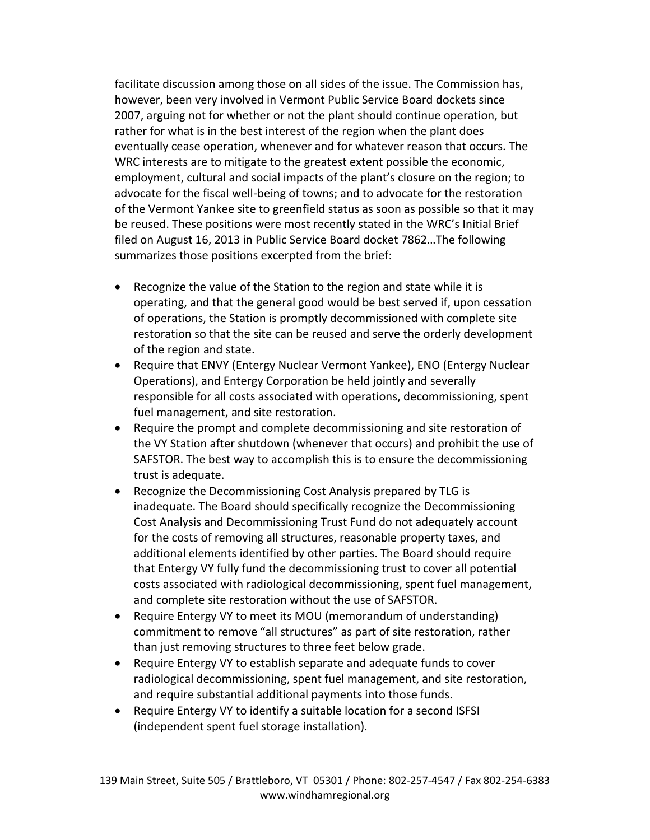facilitate discussion among those on all sides of the issue. The Commission has, however, been very involved in Vermont Public Service Board dockets since 2007, arguing not for whether or not the plant should continue operation, but rather for what is in the best interest of the region when the plant does eventually cease operation, whenever and for whatever reason that occurs. The WRC interests are to mitigate to the greatest extent possible the economic, employment, cultural and social impacts of the plant's closure on the region; to advocate for the fiscal well-being of towns; and to advocate for the restoration of the Vermont Yankee site to greenfield status as soon as possible so that it may be reused. These positions were most recently stated in the WRC's Initial Brief filed on August 16, 2013 in Public Service Board docket 7862…The following summarizes those positions excerpted from the brief:

- Recognize the value of the Station to the region and state while it is operating, and that the general good would be best served if, upon cessation of operations, the Station is promptly decommissioned with complete site restoration so that the site can be reused and serve the orderly development of the region and state.
- Require that ENVY (Entergy Nuclear Vermont Yankee), ENO (Entergy Nuclear Operations), and Entergy Corporation be held jointly and severally responsible for all costs associated with operations, decommissioning, spent fuel management, and site restoration.
- Require the prompt and complete decommissioning and site restoration of the VY Station after shutdown (whenever that occurs) and prohibit the use of SAFSTOR. The best way to accomplish this is to ensure the decommissioning trust is adequate.
- Recognize the Decommissioning Cost Analysis prepared by TLG is inadequate. The Board should specifically recognize the Decommissioning Cost Analysis and Decommissioning Trust Fund do not adequately account for the costs of removing all structures, reasonable property taxes, and additional elements identified by other parties. The Board should require that Entergy VY fully fund the decommissioning trust to cover all potential costs associated with radiological decommissioning, spent fuel management, and complete site restoration without the use of SAFSTOR.
- Require Entergy VY to meet its MOU (memorandum of understanding) commitment to remove "all structures" as part of site restoration, rather than just removing structures to three feet below grade.
- Require Entergy VY to establish separate and adequate funds to cover radiological decommissioning, spent fuel management, and site restoration, and require substantial additional payments into those funds.
- Require Entergy VY to identify a suitable location for a second ISFSI (independent spent fuel storage installation).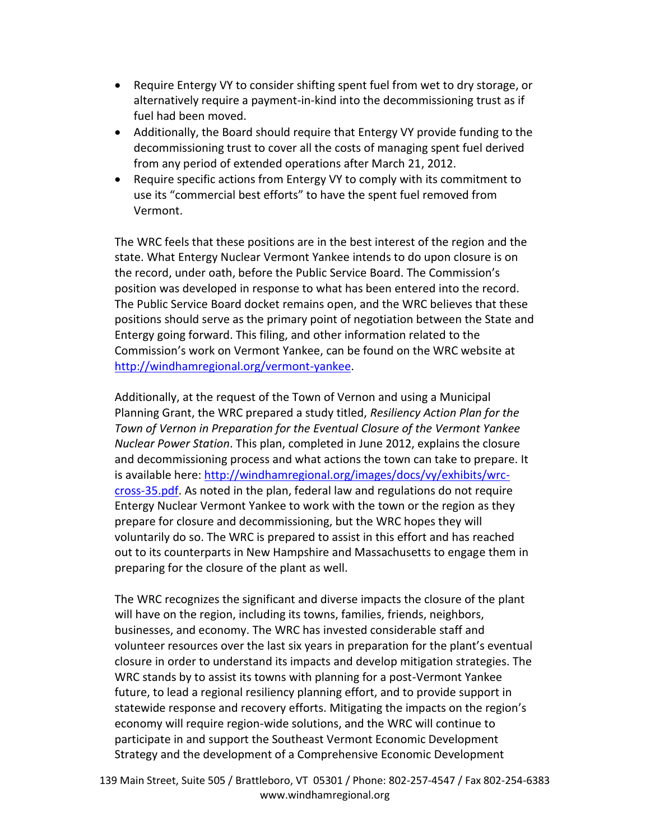- Require Entergy VY to consider shifting spent fuel from wet to dry storage, or alternatively require a payment-in-kind into the decommissioning trust as if fuel had been moved.
- Additionally, the Board should require that Entergy VY provide funding to the decommissioning trust to cover all the costs of managing spent fuel derived from any period of extended operations after March 21, 2012.
- Require specific actions from Entergy VY to comply with its commitment to use its "commercial best efforts" to have the spent fuel removed from Vermont.

The WRC feels that these positions are in the best interest of the region and the state. What Entergy Nuclear Vermont Yankee intends to do upon closure is on the record, under oath, before the Public Service Board. The Commission's position was developed in response to what has been entered into the record. The Public Service Board docket remains open, and the WRC believes that these positions should serve as the primary point of negotiation between the State and Entergy going forward. This filing, and other information related to the Commission's work on Vermont Yankee, can be found on the WRC website at [http://windhamregional.org/vermont-yankee.](http://windhamregional.org/vermont-yankee)

Additionally, at the request of the Town of Vernon and using a Municipal Planning Grant, the WRC prepared a study titled, *Resiliency Action Plan for the Town of Vernon in Preparation for the Eventual Closure of the Vermont Yankee Nuclear Power Station*. This plan, completed in June 2012, explains the closure and decommissioning process and what actions the town can take to prepare. It is available here: [http://windhamregional.org/images/docs/vy/exhibits/wrc](http://windhamregional.org/images/docs/vy/exhibits/wrc-cross-35.pdf)[cross-35.pdf.](http://windhamregional.org/images/docs/vy/exhibits/wrc-cross-35.pdf) As noted in the plan, federal law and regulations do not require Entergy Nuclear Vermont Yankee to work with the town or the region as they prepare for closure and decommissioning, but the WRC hopes they will voluntarily do so. The WRC is prepared to assist in this effort and has reached out to its counterparts in New Hampshire and Massachusetts to engage them in preparing for the closure of the plant as well.

The WRC recognizes the significant and diverse impacts the closure of the plant will have on the region, including its towns, families, friends, neighbors, businesses, and economy. The WRC has invested considerable staff and volunteer resources over the last six years in preparation for the plant's eventual closure in order to understand its impacts and develop mitigation strategies. The WRC stands by to assist its towns with planning for a post-Vermont Yankee future, to lead a regional resiliency planning effort, and to provide support in statewide response and recovery efforts. Mitigating the impacts on the region's economy will require region-wide solutions, and the WRC will continue to participate in and support the Southeast Vermont Economic Development Strategy and the development of a Comprehensive Economic Development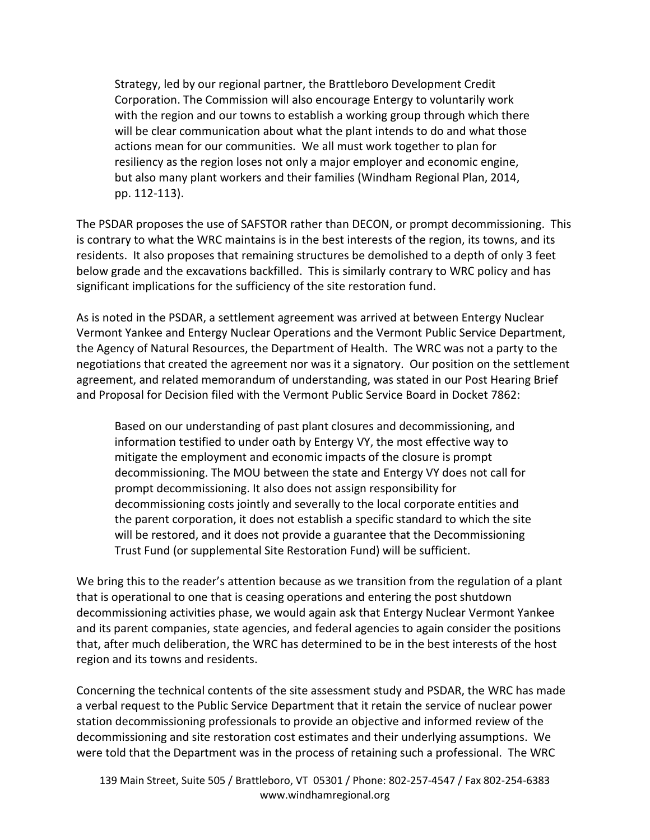Strategy, led by our regional partner, the Brattleboro Development Credit Corporation. The Commission will also encourage Entergy to voluntarily work with the region and our towns to establish a working group through which there will be clear communication about what the plant intends to do and what those actions mean for our communities. We all must work together to plan for resiliency as the region loses not only a major employer and economic engine, but also many plant workers and their families (Windham Regional Plan, 2014, pp. 112-113).

The PSDAR proposes the use of SAFSTOR rather than DECON, or prompt decommissioning. This is contrary to what the WRC maintains is in the best interests of the region, its towns, and its residents. It also proposes that remaining structures be demolished to a depth of only 3 feet below grade and the excavations backfilled. This is similarly contrary to WRC policy and has significant implications for the sufficiency of the site restoration fund.

As is noted in the PSDAR, a settlement agreement was arrived at between Entergy Nuclear Vermont Yankee and Entergy Nuclear Operations and the Vermont Public Service Department, the Agency of Natural Resources, the Department of Health. The WRC was not a party to the negotiations that created the agreement nor was it a signatory. Our position on the settlement agreement, and related memorandum of understanding, was stated in our Post Hearing Brief and Proposal for Decision filed with the Vermont Public Service Board in Docket 7862:

Based on our understanding of past plant closures and decommissioning, and information testified to under oath by Entergy VY, the most effective way to mitigate the employment and economic impacts of the closure is prompt decommissioning. The MOU between the state and Entergy VY does not call for prompt decommissioning. It also does not assign responsibility for decommissioning costs jointly and severally to the local corporate entities and the parent corporation, it does not establish a specific standard to which the site will be restored, and it does not provide a guarantee that the Decommissioning Trust Fund (or supplemental Site Restoration Fund) will be sufficient.

We bring this to the reader's attention because as we transition from the regulation of a plant that is operational to one that is ceasing operations and entering the post shutdown decommissioning activities phase, we would again ask that Entergy Nuclear Vermont Yankee and its parent companies, state agencies, and federal agencies to again consider the positions that, after much deliberation, the WRC has determined to be in the best interests of the host region and its towns and residents.

Concerning the technical contents of the site assessment study and PSDAR, the WRC has made a verbal request to the Public Service Department that it retain the service of nuclear power station decommissioning professionals to provide an objective and informed review of the decommissioning and site restoration cost estimates and their underlying assumptions. We were told that the Department was in the process of retaining such a professional. The WRC

139 Main Street, Suite 505 / Brattleboro, VT 05301 / Phone: 802-257-4547 / Fax 802-254-6383 www.windhamregional.org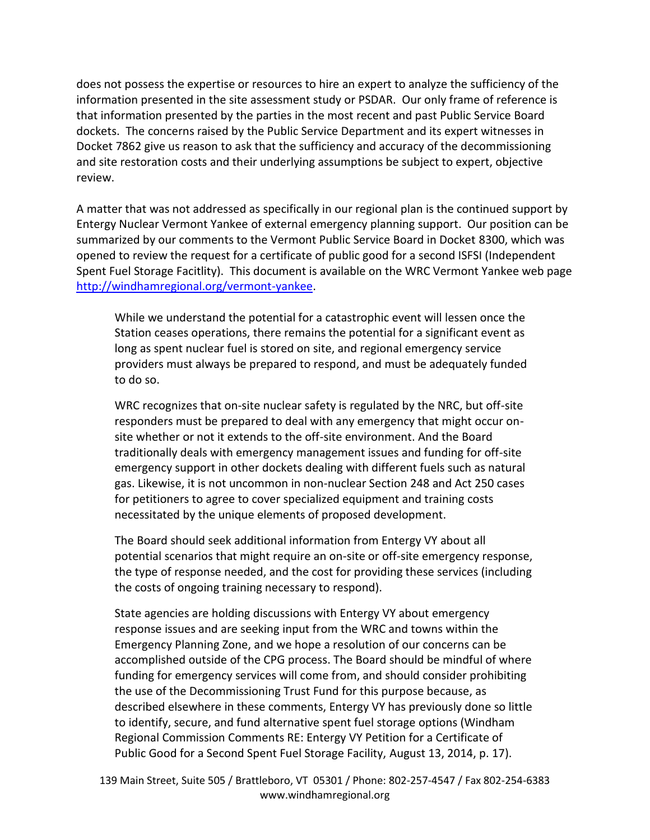does not possess the expertise or resources to hire an expert to analyze the sufficiency of the information presented in the site assessment study or PSDAR. Our only frame of reference is that information presented by the parties in the most recent and past Public Service Board dockets. The concerns raised by the Public Service Department and its expert witnesses in Docket 7862 give us reason to ask that the sufficiency and accuracy of the decommissioning and site restoration costs and their underlying assumptions be subject to expert, objective review.

A matter that was not addressed as specifically in our regional plan is the continued support by Entergy Nuclear Vermont Yankee of external emergency planning support. Our position can be summarized by our comments to the Vermont Public Service Board in Docket 8300, which was opened to review the request for a certificate of public good for a second ISFSI (Independent Spent Fuel Storage Facitlity). This document is available on the WRC Vermont Yankee web page [http://windhamregional.org/vermont-yankee.](http://windhamregional.org/vermont-yankee)

While we understand the potential for a catastrophic event will lessen once the Station ceases operations, there remains the potential for a significant event as long as spent nuclear fuel is stored on site, and regional emergency service providers must always be prepared to respond, and must be adequately funded to do so.

WRC recognizes that on-site nuclear safety is regulated by the NRC, but off-site responders must be prepared to deal with any emergency that might occur onsite whether or not it extends to the off-site environment. And the Board traditionally deals with emergency management issues and funding for off-site emergency support in other dockets dealing with different fuels such as natural gas. Likewise, it is not uncommon in non-nuclear Section 248 and Act 250 cases for petitioners to agree to cover specialized equipment and training costs necessitated by the unique elements of proposed development.

The Board should seek additional information from Entergy VY about all potential scenarios that might require an on-site or off-site emergency response, the type of response needed, and the cost for providing these services (including the costs of ongoing training necessary to respond).

State agencies are holding discussions with Entergy VY about emergency response issues and are seeking input from the WRC and towns within the Emergency Planning Zone, and we hope a resolution of our concerns can be accomplished outside of the CPG process. The Board should be mindful of where funding for emergency services will come from, and should consider prohibiting the use of the Decommissioning Trust Fund for this purpose because, as described elsewhere in these comments, Entergy VY has previously done so little to identify, secure, and fund alternative spent fuel storage options (Windham Regional Commission Comments RE: Entergy VY Petition for a Certificate of Public Good for a Second Spent Fuel Storage Facility, August 13, 2014, p. 17).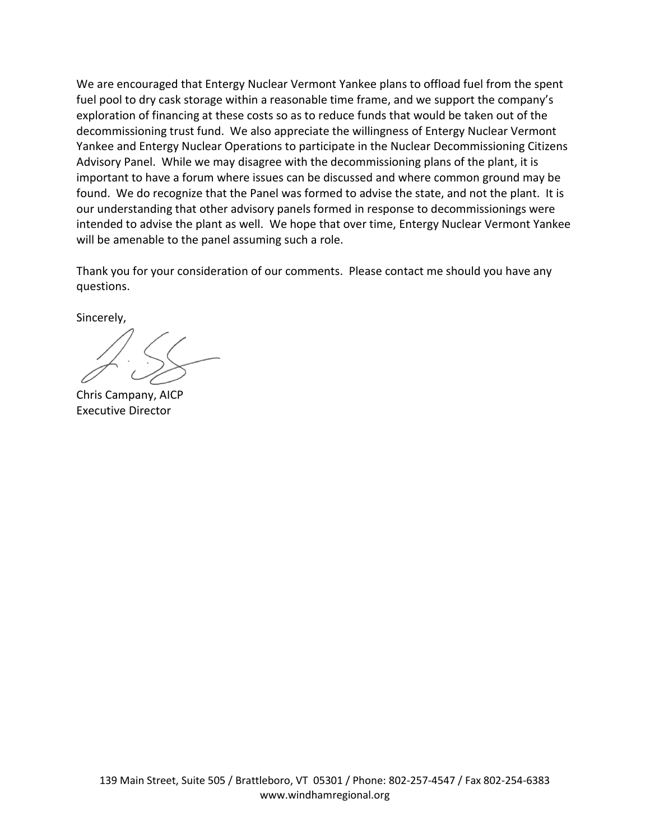We are encouraged that Entergy Nuclear Vermont Yankee plans to offload fuel from the spent fuel pool to dry cask storage within a reasonable time frame, and we support the company's exploration of financing at these costs so as to reduce funds that would be taken out of the decommissioning trust fund. We also appreciate the willingness of Entergy Nuclear Vermont Yankee and Entergy Nuclear Operations to participate in the Nuclear Decommissioning Citizens Advisory Panel. While we may disagree with the decommissioning plans of the plant, it is important to have a forum where issues can be discussed and where common ground may be found. We do recognize that the Panel was formed to advise the state, and not the plant. It is our understanding that other advisory panels formed in response to decommissionings were intended to advise the plant as well. We hope that over time, Entergy Nuclear Vermont Yankee will be amenable to the panel assuming such a role.

Thank you for your consideration of our comments. Please contact me should you have any questions.

Sincerely,

Chris Campany, AICP Executive Director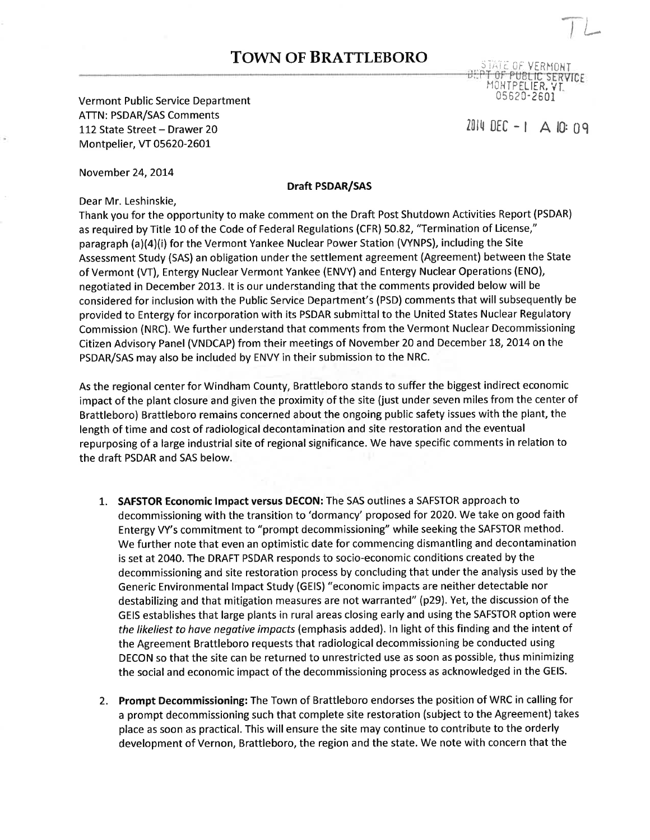## **TOWN OF BRATTLEBORO** STATE OF VERMONT

*DEPT OF PUBLIC SERVICE*<br>MONTPELIER, VT. 05 62 0-2601

 $2014$  DEC-I A IO: 09

Vermont Public Seruice Department ATTN: PSDAR/SAS Comments 112 State Street - Drawer 20 Montpelier, VT 05620-260L

November 24,20L4

## Draft PSDAR/SAS

Dear Mr. Leshinskie,

Thank you for the opportunity to make comment on the Draft Post Shutdown Activities Report (PSDAR) as required by Title 10 of the Code of Federal Regulations (CFR) 50.82, "Termination of License," paragraph (a)(4)(i) for the Vermont Yankee Nuclear Power Station (VYNPS), including the Site Assessment Study (SAS) an obligation under the settlement agreement (Agreement) between the State of Vermont (VT), Entergy Nuclear Vermont Yankee (ENVY) and Entergy Nuclear Operations (ENO), negotiated in December 2013. It is our understanding that the comments provided below will be considered for inclusion with the Public Service Department's (PSD) comments that will subsequently be provided to Entergy for incorporation with its PSDAR submittal to the United States Nuclear Regulatory Commission (NRC). We further understand that comments from the Vermont Nuclear Decommissioning Citizen Advisory Panel (VNDCAP) from their meetings of November 20 and December 18, 2014 on the PSDAR/SAS may also be included by ENVY in their submission to the NRC.

As the regional center for Windham County, Brattleboro stands to suffer the biggest indirect economic impact of the plant closure and given the proximity of the site (just under seven miles from the center of Brattleboro) Brattleboro remains concerned about the ongoing public safety issues with the plant, the length of time and cost of radiological decontamination and site restoration and the eventual repurposing of a large industrial site of regional significance. We have specific comments in relation to the draft PSDAR and SAS below.

- 1. SAFSTOR Economic Impact versus DECON: The SAS outlines a SAFSTOR approach to decommissioning with the transition to 'dormancy' proposed for 2020. We take on good faith Entergy VY's commitment to "prompt decommissioning" while seeking the SAFSTOR method. We further note that even an optimistic date for commencing dismantling and decontamination is set at 2040. The DRAFT PSDAR responds to socio-economic conditions created by the decommissioning and site restoration process by concluding that under the analysis used by the Generic Environmental lmpact Study (GEIS) "economic impacts are neither detectable nor destabilizing and that mitigation measures are not warranted" (p29). Yet, the discussion of the GEIS establishes that large plants in rural areas closing early and using the SAFSTOR option were the likeliest to have negative impacts (emphasis added). In light of this finding and the intent of the Agreement Brattleboro requests that radiological decommissioning be conducted using DECON so that the site can be returned to unrestricted use as soon as possible, thus minimizing the social and economic impact of the decommissioning process as acknowledged in the GEIS.
- 2. Prompt Decommissioning: The Town of Brattleboro endorses the position of WRC in calling for a prompt decommissioning such that complete site restoration (subject to the Agreement) takes place as soon as practical. This will ensure the site may continue to contribute to the orderly development of Vernon, Brattleboro, the region and the state. We note with concern that the

 $\overline{\phantom{a}}$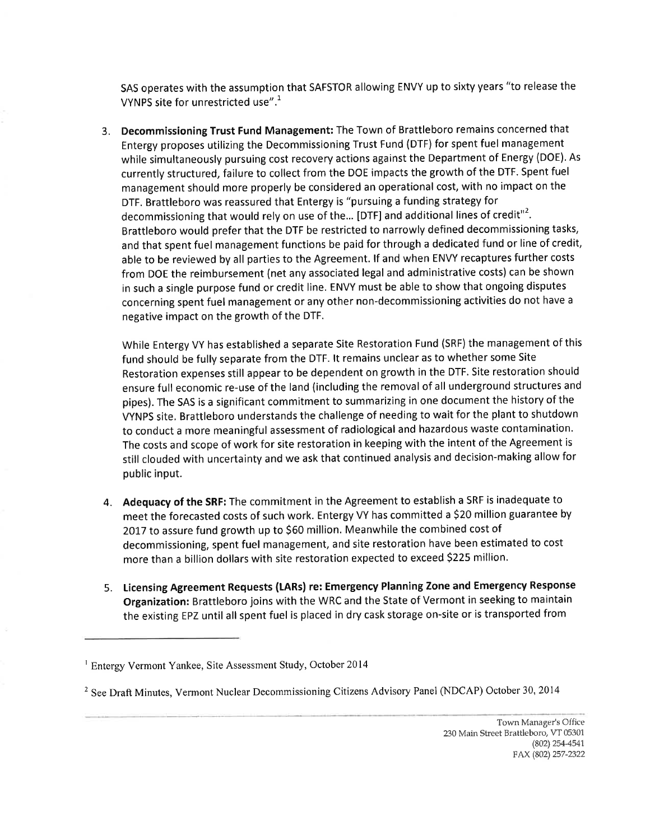SAS operates with the assumption that SAFSTOR allowing ENVY up to sixty years "to release the VYNPS site for unrestricted use".<sup>1</sup>

3. Decommissioning Trust Fund Management: The Town of Brattleboro remains concerned that Entergy proposes utilizing the Decommissioning Trust Fund (DTF) for spent fuel management while simultaneously pursuing cost recovery actions against the Department of Energy (DOE). As currently structured, failure to collect from the DOE impacts the growth of the DTF. Spent fuel management should more properly be considered an operational cost, with no impact on the DTF. Brattleboro was reassured that Entergy is "pursuing a funding strategy for decommissioning that would rely on use of the... [DTF] and additional lines of credit"<sup>2</sup>. Brattleboro would prefer that the DTF be restricted to narrowly defined decommissioning tasks, and that spent fuel management functions be paid for through a dedicated fund or line of credit, able to be reviewed by all parties to the Agreement. lf and when ENVY recaptures further costs from DOE the reimbursement (net any associated legal and administrative costs) can be shown in such a single purpose fund or credit line. ENVY must be able to show that ongoing disputes concerning spent fuel management or any other non-decommissioning activities do not have <sup>a</sup> negative impact on the growth of the DTF.

While Entergy VY has established a separate Site Restoration Fund (SRF) the management of this fund should be fully separate from the DTF. lt remains unclear as to whether some Site Restoration expenses still appear to be dependent on growth in the DTF. Site restoration should ensure full economic re-use of the land (including the removal of all underground structures and pipes). The SAS is a significant commitment to summarizing in one document the history of the VYNPS site, Brattleboro understands the challenge of needing to wait for the plant to shutdown to conduct a more meaningful assessment of radiological and hazardous waste contamination. The costs and scope of work for site restoration in keeping with the intent of the Agreement is still clouded with uncertainty and we ask that continued analysis and decision-making allow for public input.

- 4. Adequacy of the SRF: The commitment in the Agreement to establish a SRF is inadequate to meet the forecasted costs of such work. Entergy VY has committed a \$20 million guarantee by 2017 to assure fund growth up to \$60 million. Meanwhile the combined cost of decommissioning, spent fuel management, and site restoration have been estimated to cost more than a billion dollars with site restoration expected to exceed 5225 million'
- 5. Licensing Agreement Requests (tARs) re: Emergency Planning Zone and Emergency Response Organization: Brattleboro joins with the WRC and the State of Vermont in seeking to maintain the existing EPZ until all spent fuel is placed in dry cask storage on-site or is transported from

<sup>&#</sup>x27; Entergy Vermont Yankee, Site Assessment Study, October <sup>2014</sup>

<sup>&</sup>lt;sup>2</sup> See Draft Minutes, Vermont Nuclear Decommissioning Citizens Advisory Panel (NDCAP) October 30, 2014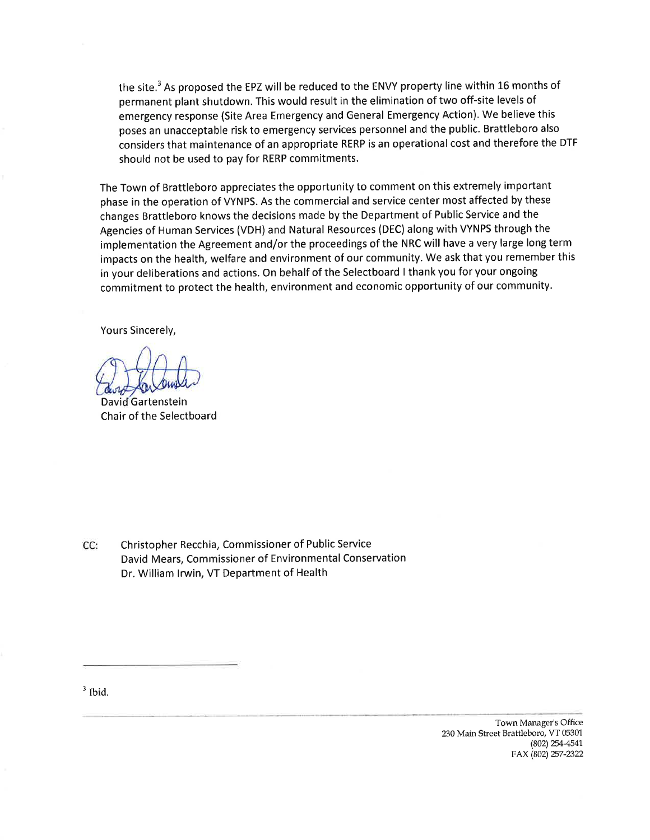the site.<sup>3</sup> As proposed the EPZ will be reduced to the ENVY property line within 16 months of permanent plant shutdown. This would result in the elimination of two off-site levels of emergency response (Site Area Emergency and General Emergency Action). We believe this poses an unacceptable risk to emergency services personnel and the public. Brattleboro also considers that maintenance of an appropriate RERP is an operational cost and therefore the DTF should not be used to pay for RERP commitments.

The Town of Brattleboro appreciates the opportunity to comment on this extremely important phase in the operation of VYNPS. As the commercial and service center most affected by these changes Brattleboro knows the decisions made by the Department of Public Service and the Agencies of Human Services (VDH) and Natural Resources (DEC) along with VYNPS through the implementation the Agreement and/or the proceedings of the NRC will have a very large long term impacts on the health, welfare and environment of our community. We ask that you remember this in your deliberations and actions. On behalf of the Selectboard I thank you for your ongoing commitment to protect the health, environment and economic opportunity of our community.

Yours Sincerely,

David Gartenstein Chair of the Selectboard

CC: Christopher Recchia, Commissioner of Public Service David Mears, Commissioner of Environmental Conservation Dr. William lrwin, VT Department of Health

 $3$  Ibid.

Town Manager's Office 230 Main Street Brattleboro, VT 05301 (802) 254-4541 FAX (802) 257-2322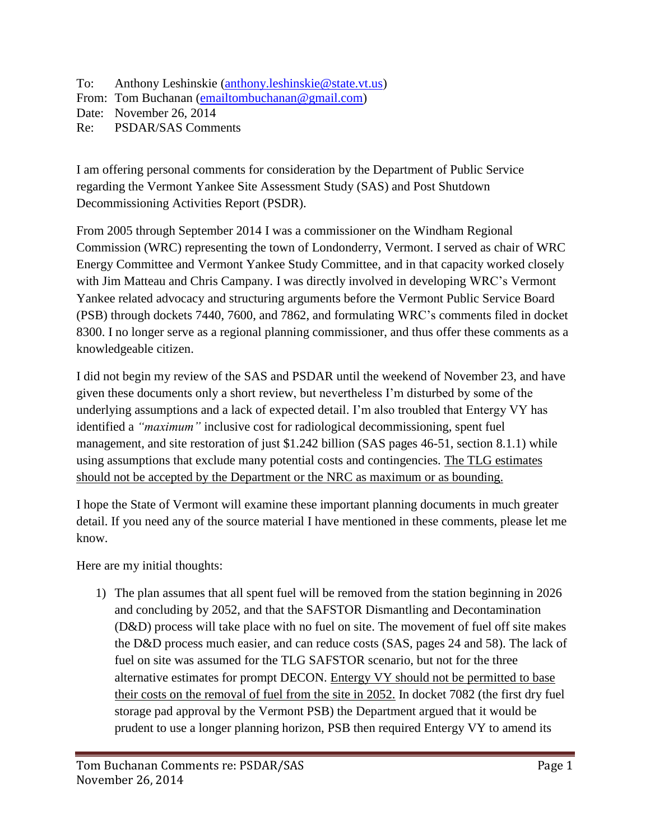To: Anthony Leshinskie [\(anthony.leshinskie@state.vt.us\)](mailto:anthony.leshinskie@state.vt.us) From: Tom Buchanan [\(emailtombuchanan@gmail.com\)](mailto:emailtombuchanan@gmail.com) Date: November 26, 2014 Re: PSDAR/SAS Comments

I am offering personal comments for consideration by the Department of Public Service regarding the Vermont Yankee Site Assessment Study (SAS) and Post Shutdown Decommissioning Activities Report (PSDR).

From 2005 through September 2014 I was a commissioner on the Windham Regional Commission (WRC) representing the town of Londonderry, Vermont. I served as chair of WRC Energy Committee and Vermont Yankee Study Committee, and in that capacity worked closely with Jim Matteau and Chris Campany. I was directly involved in developing WRC's Vermont Yankee related advocacy and structuring arguments before the Vermont Public Service Board (PSB) through dockets 7440, 7600, and 7862, and formulating WRC's comments filed in docket 8300. I no longer serve as a regional planning commissioner, and thus offer these comments as a knowledgeable citizen.

I did not begin my review of the SAS and PSDAR until the weekend of November 23, and have given these documents only a short review, but nevertheless I'm disturbed by some of the underlying assumptions and a lack of expected detail. I'm also troubled that Entergy VY has identified a *"maximum"* inclusive cost for radiological decommissioning, spent fuel management, and site restoration of just \$1.242 billion (SAS pages 46-51, section 8.1.1) while using assumptions that exclude many potential costs and contingencies. The TLG estimates should not be accepted by the Department or the NRC as maximum or as bounding.

I hope the State of Vermont will examine these important planning documents in much greater detail. If you need any of the source material I have mentioned in these comments, please let me know.

Here are my initial thoughts:

1) The plan assumes that all spent fuel will be removed from the station beginning in 2026 and concluding by 2052, and that the SAFSTOR Dismantling and Decontamination (D&D) process will take place with no fuel on site. The movement of fuel off site makes the D&D process much easier, and can reduce costs (SAS, pages 24 and 58). The lack of fuel on site was assumed for the TLG SAFSTOR scenario, but not for the three alternative estimates for prompt DECON. Entergy VY should not be permitted to base their costs on the removal of fuel from the site in 2052. In docket 7082 (the first dry fuel storage pad approval by the Vermont PSB) the Department argued that it would be prudent to use a longer planning horizon, PSB then required Entergy VY to amend its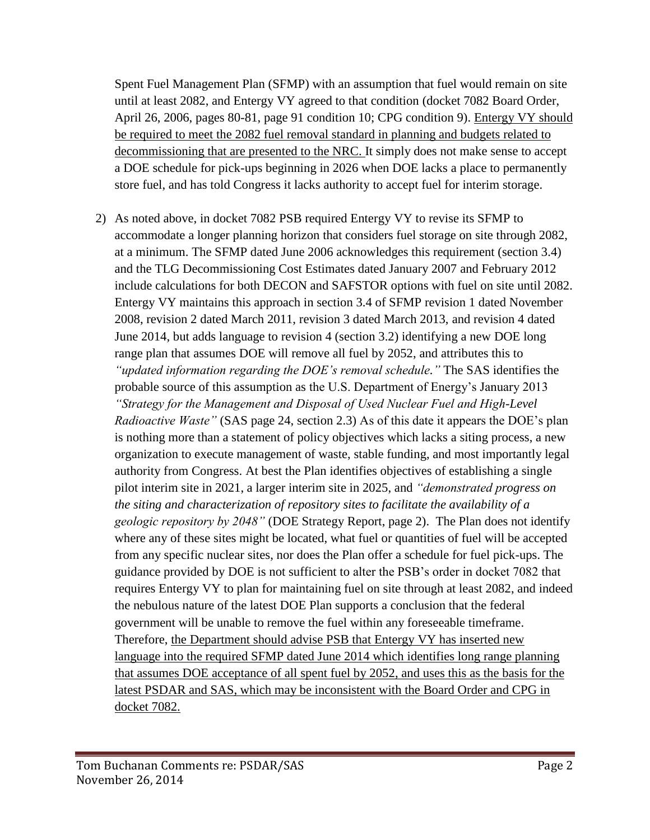Spent Fuel Management Plan (SFMP) with an assumption that fuel would remain on site until at least 2082, and Entergy VY agreed to that condition (docket 7082 Board Order, April 26, 2006, pages 80-81, page 91 condition 10; CPG condition 9). Entergy VY should be required to meet the 2082 fuel removal standard in planning and budgets related to decommissioning that are presented to the NRC. It simply does not make sense to accept a DOE schedule for pick-ups beginning in 2026 when DOE lacks a place to permanently store fuel, and has told Congress it lacks authority to accept fuel for interim storage.

2) As noted above, in docket 7082 PSB required Entergy VY to revise its SFMP to accommodate a longer planning horizon that considers fuel storage on site through 2082, at a minimum. The SFMP dated June 2006 acknowledges this requirement (section 3.4) and the TLG Decommissioning Cost Estimates dated January 2007 and February 2012 include calculations for both DECON and SAFSTOR options with fuel on site until 2082. Entergy VY maintains this approach in section 3.4 of SFMP revision 1 dated November 2008, revision 2 dated March 2011, revision 3 dated March 2013, and revision 4 dated June 2014, but adds language to revision 4 (section 3.2) identifying a new DOE long range plan that assumes DOE will remove all fuel by 2052, and attributes this to *"updated information regarding the DOE's removal schedule."* The SAS identifies the probable source of this assumption as the U.S. Department of Energy's January 2013 *"Strategy for the Management and Disposal of Used Nuclear Fuel and High-Level Radioactive Waste"* (SAS page 24, section 2.3) As of this date it appears the DOE's plan is nothing more than a statement of policy objectives which lacks a siting process, a new organization to execute management of waste, stable funding, and most importantly legal authority from Congress. At best the Plan identifies objectives of establishing a single pilot interim site in 2021, a larger interim site in 2025, and *"demonstrated progress on the siting and characterization of repository sites to facilitate the availability of a geologic repository by 2048"* (DOE Strategy Report, page 2). The Plan does not identify where any of these sites might be located, what fuel or quantities of fuel will be accepted from any specific nuclear sites, nor does the Plan offer a schedule for fuel pick-ups. The guidance provided by DOE is not sufficient to alter the PSB's order in docket 7082 that requires Entergy VY to plan for maintaining fuel on site through at least 2082, and indeed the nebulous nature of the latest DOE Plan supports a conclusion that the federal government will be unable to remove the fuel within any foreseeable timeframe. Therefore, the Department should advise PSB that Entergy VY has inserted new language into the required SFMP dated June 2014 which identifies long range planning that assumes DOE acceptance of all spent fuel by 2052, and uses this as the basis for the latest PSDAR and SAS, which may be inconsistent with the Board Order and CPG in docket 7082.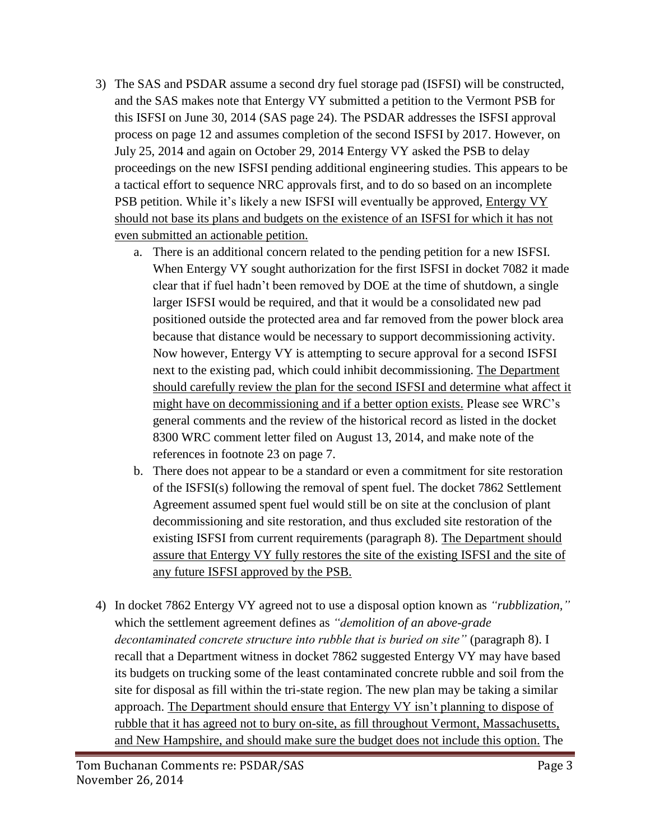- 3) The SAS and PSDAR assume a second dry fuel storage pad (ISFSI) will be constructed, and the SAS makes note that Entergy VY submitted a petition to the Vermont PSB for this ISFSI on June 30, 2014 (SAS page 24). The PSDAR addresses the ISFSI approval process on page 12 and assumes completion of the second ISFSI by 2017. However, on July 25, 2014 and again on October 29, 2014 Entergy VY asked the PSB to delay proceedings on the new ISFSI pending additional engineering studies. This appears to be a tactical effort to sequence NRC approvals first, and to do so based on an incomplete PSB petition. While it's likely a new ISFSI will eventually be approved, Entergy VY should not base its plans and budgets on the existence of an ISFSI for which it has not even submitted an actionable petition.
	- a. There is an additional concern related to the pending petition for a new ISFSI. When Entergy VY sought authorization for the first ISFSI in docket 7082 it made clear that if fuel hadn't been removed by DOE at the time of shutdown, a single larger ISFSI would be required, and that it would be a consolidated new pad positioned outside the protected area and far removed from the power block area because that distance would be necessary to support decommissioning activity. Now however, Entergy VY is attempting to secure approval for a second ISFSI next to the existing pad, which could inhibit decommissioning. The Department should carefully review the plan for the second ISFSI and determine what affect it might have on decommissioning and if a better option exists. Please see WRC's general comments and the review of the historical record as listed in the docket 8300 WRC comment letter filed on August 13, 2014, and make note of the references in footnote 23 on page 7.
	- b. There does not appear to be a standard or even a commitment for site restoration of the ISFSI(s) following the removal of spent fuel. The docket 7862 Settlement Agreement assumed spent fuel would still be on site at the conclusion of plant decommissioning and site restoration, and thus excluded site restoration of the existing ISFSI from current requirements (paragraph 8). The Department should assure that Entergy VY fully restores the site of the existing ISFSI and the site of any future ISFSI approved by the PSB.
- 4) In docket 7862 Entergy VY agreed not to use a disposal option known as *"rubblization,"* which the settlement agreement defines as *"demolition of an above-grade decontaminated concrete structure into rubble that is buried on site"* (paragraph 8). I recall that a Department witness in docket 7862 suggested Entergy VY may have based its budgets on trucking some of the least contaminated concrete rubble and soil from the site for disposal as fill within the tri-state region. The new plan may be taking a similar approach. The Department should ensure that Entergy VY isn't planning to dispose of rubble that it has agreed not to bury on-site, as fill throughout Vermont, Massachusetts, and New Hampshire, and should make sure the budget does not include this option. The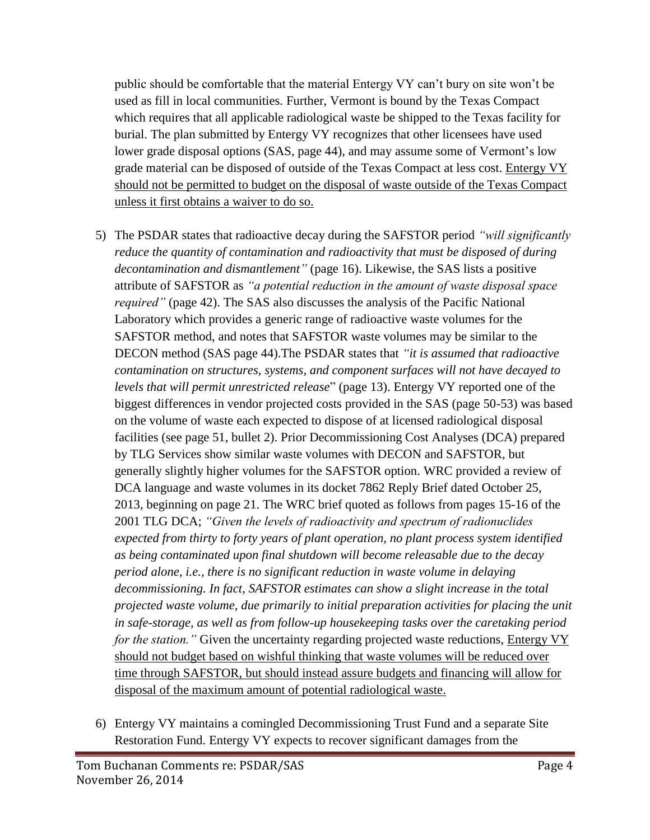public should be comfortable that the material Entergy VY can't bury on site won't be used as fill in local communities. Further, Vermont is bound by the Texas Compact which requires that all applicable radiological waste be shipped to the Texas facility for burial. The plan submitted by Entergy VY recognizes that other licensees have used lower grade disposal options (SAS, page 44), and may assume some of Vermont's low grade material can be disposed of outside of the Texas Compact at less cost. Entergy VY should not be permitted to budget on the disposal of waste outside of the Texas Compact unless it first obtains a waiver to do so.

- 5) The PSDAR states that radioactive decay during the SAFSTOR period *"will significantly reduce the quantity of contamination and radioactivity that must be disposed of during decontamination and dismantlement"* (page 16). Likewise, the SAS lists a positive attribute of SAFSTOR as *"a potential reduction in the amount of waste disposal space required"* (page 42). The SAS also discusses the analysis of the Pacific National Laboratory which provides a generic range of radioactive waste volumes for the SAFSTOR method, and notes that SAFSTOR waste volumes may be similar to the DECON method (SAS page 44).The PSDAR states that *"it is assumed that radioactive contamination on structures, systems, and component surfaces will not have decayed to levels that will permit unrestricted release*" (page 13). Entergy VY reported one of the biggest differences in vendor projected costs provided in the SAS (page 50-53) was based on the volume of waste each expected to dispose of at licensed radiological disposal facilities (see page 51, bullet 2). Prior Decommissioning Cost Analyses (DCA) prepared by TLG Services show similar waste volumes with DECON and SAFSTOR, but generally slightly higher volumes for the SAFSTOR option. WRC provided a review of DCA language and waste volumes in its docket 7862 Reply Brief dated October 25, 2013, beginning on page 21. The WRC brief quoted as follows from pages 15-16 of the 2001 TLG DCA; *"Given the levels of radioactivity and spectrum of radionuclides expected from thirty to forty years of plant operation, no plant process system identified as being contaminated upon final shutdown will become releasable due to the decay period alone, i.e., there is no significant reduction in waste volume in delaying decommissioning. In fact, SAFSTOR estimates can show a slight increase in the total projected waste volume, due primarily to initial preparation activities for placing the unit in safe-storage, as well as from follow-up housekeeping tasks over the caretaking period for the station.*" Given the uncertainty regarding projected waste reductions, **Entergy VY** should not budget based on wishful thinking that waste volumes will be reduced over time through SAFSTOR, but should instead assure budgets and financing will allow for disposal of the maximum amount of potential radiological waste.
- 6) Entergy VY maintains a comingled Decommissioning Trust Fund and a separate Site Restoration Fund. Entergy VY expects to recover significant damages from the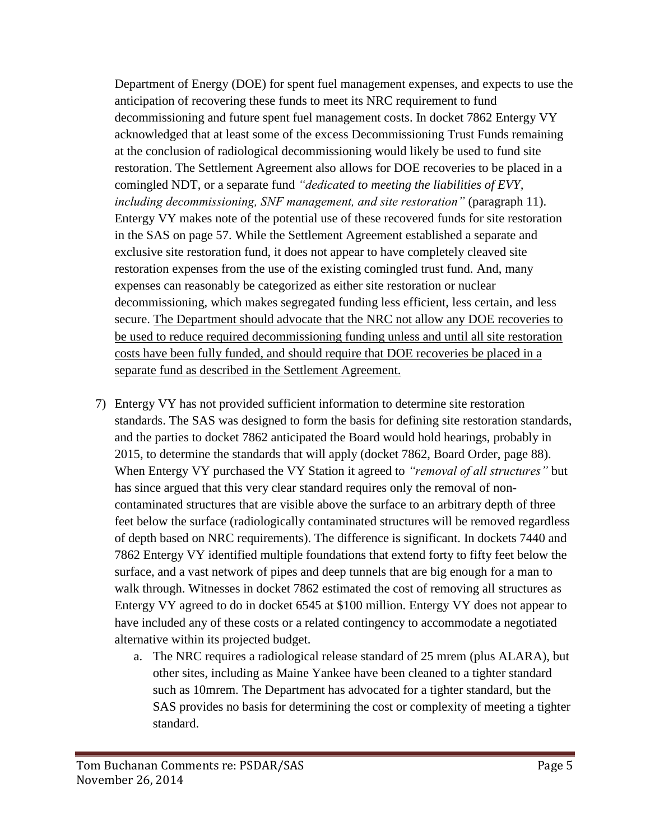Department of Energy (DOE) for spent fuel management expenses, and expects to use the anticipation of recovering these funds to meet its NRC requirement to fund decommissioning and future spent fuel management costs. In docket 7862 Entergy VY acknowledged that at least some of the excess Decommissioning Trust Funds remaining at the conclusion of radiological decommissioning would likely be used to fund site restoration. The Settlement Agreement also allows for DOE recoveries to be placed in a comingled NDT, or a separate fund *"dedicated to meeting the liabilities of EVY, including decommissioning, SNF management, and site restoration"* (paragraph 11). Entergy VY makes note of the potential use of these recovered funds for site restoration in the SAS on page 57. While the Settlement Agreement established a separate and exclusive site restoration fund, it does not appear to have completely cleaved site restoration expenses from the use of the existing comingled trust fund. And, many expenses can reasonably be categorized as either site restoration or nuclear decommissioning, which makes segregated funding less efficient, less certain, and less secure. The Department should advocate that the NRC not allow any DOE recoveries to be used to reduce required decommissioning funding unless and until all site restoration costs have been fully funded, and should require that DOE recoveries be placed in a separate fund as described in the Settlement Agreement.

- 7) Entergy VY has not provided sufficient information to determine site restoration standards. The SAS was designed to form the basis for defining site restoration standards, and the parties to docket 7862 anticipated the Board would hold hearings, probably in 2015, to determine the standards that will apply (docket 7862, Board Order, page 88). When Entergy VY purchased the VY Station it agreed to *"removal of all structures"* but has since argued that this very clear standard requires only the removal of noncontaminated structures that are visible above the surface to an arbitrary depth of three feet below the surface (radiologically contaminated structures will be removed regardless of depth based on NRC requirements). The difference is significant. In dockets 7440 and 7862 Entergy VY identified multiple foundations that extend forty to fifty feet below the surface, and a vast network of pipes and deep tunnels that are big enough for a man to walk through. Witnesses in docket 7862 estimated the cost of removing all structures as Entergy VY agreed to do in docket 6545 at \$100 million. Entergy VY does not appear to have included any of these costs or a related contingency to accommodate a negotiated alternative within its projected budget.
	- a. The NRC requires a radiological release standard of 25 mrem (plus ALARA), but other sites, including as Maine Yankee have been cleaned to a tighter standard such as 10mrem. The Department has advocated for a tighter standard, but the SAS provides no basis for determining the cost or complexity of meeting a tighter standard.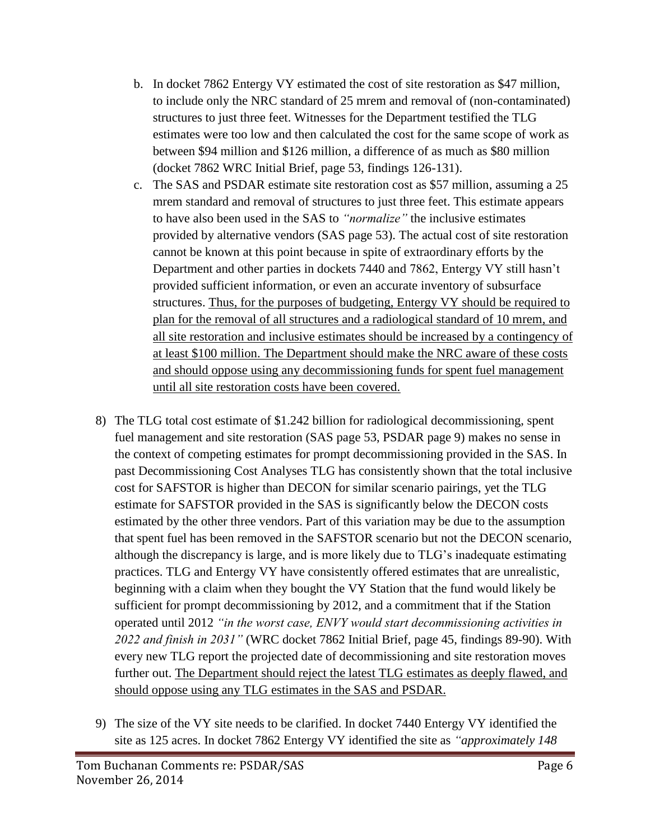- b. In docket 7862 Entergy VY estimated the cost of site restoration as \$47 million, to include only the NRC standard of 25 mrem and removal of (non-contaminated) structures to just three feet. Witnesses for the Department testified the TLG estimates were too low and then calculated the cost for the same scope of work as between \$94 million and \$126 million, a difference of as much as \$80 million (docket 7862 WRC Initial Brief, page 53, findings 126-131).
- c. The SAS and PSDAR estimate site restoration cost as \$57 million, assuming a 25 mrem standard and removal of structures to just three feet. This estimate appears to have also been used in the SAS to *"normalize"* the inclusive estimates provided by alternative vendors (SAS page 53). The actual cost of site restoration cannot be known at this point because in spite of extraordinary efforts by the Department and other parties in dockets 7440 and 7862, Entergy VY still hasn't provided sufficient information, or even an accurate inventory of subsurface structures. Thus, for the purposes of budgeting, Entergy VY should be required to plan for the removal of all structures and a radiological standard of 10 mrem, and all site restoration and inclusive estimates should be increased by a contingency of at least \$100 million. The Department should make the NRC aware of these costs and should oppose using any decommissioning funds for spent fuel management until all site restoration costs have been covered.
- 8) The TLG total cost estimate of \$1.242 billion for radiological decommissioning, spent fuel management and site restoration (SAS page 53, PSDAR page 9) makes no sense in the context of competing estimates for prompt decommissioning provided in the SAS. In past Decommissioning Cost Analyses TLG has consistently shown that the total inclusive cost for SAFSTOR is higher than DECON for similar scenario pairings, yet the TLG estimate for SAFSTOR provided in the SAS is significantly below the DECON costs estimated by the other three vendors. Part of this variation may be due to the assumption that spent fuel has been removed in the SAFSTOR scenario but not the DECON scenario, although the discrepancy is large, and is more likely due to TLG's inadequate estimating practices. TLG and Entergy VY have consistently offered estimates that are unrealistic, beginning with a claim when they bought the VY Station that the fund would likely be sufficient for prompt decommissioning by 2012, and a commitment that if the Station operated until 2012 *"in the worst case, ENVY would start decommissioning activities in 2022 and finish in 2031"* (WRC docket 7862 Initial Brief, page 45, findings 89-90). With every new TLG report the projected date of decommissioning and site restoration moves further out. The Department should reject the latest TLG estimates as deeply flawed, and should oppose using any TLG estimates in the SAS and PSDAR.
- 9) The size of the VY site needs to be clarified. In docket 7440 Entergy VY identified the site as 125 acres. In docket 7862 Entergy VY identified the site as *"approximately 148*